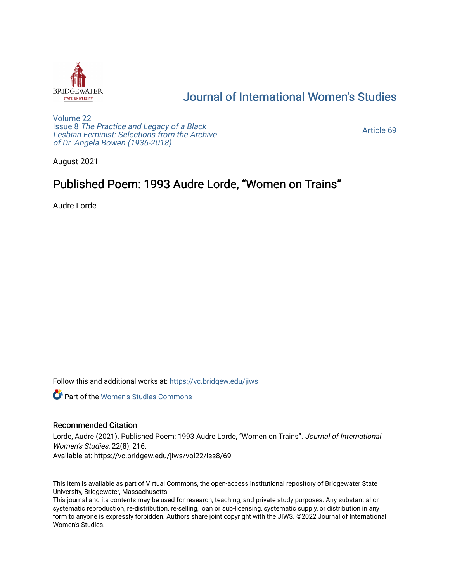

### [Journal of International Women's Studies](https://vc.bridgew.edu/jiws)

[Volume 22](https://vc.bridgew.edu/jiws/vol22) Issue 8 [The Practice and Legacy of a Black](https://vc.bridgew.edu/jiws/vol22/iss8)  [Lesbian Feminist: Selections from the Archive](https://vc.bridgew.edu/jiws/vol22/iss8)  [of Dr. Angela Bowen \(1936-2018\)](https://vc.bridgew.edu/jiws/vol22/iss8)

[Article 69](https://vc.bridgew.edu/jiws/vol22/iss8/69) 

August 2021

## Published Poem: 1993 Audre Lorde, "Women on Trains"

Audre Lorde

Follow this and additional works at: [https://vc.bridgew.edu/jiws](https://vc.bridgew.edu/jiws?utm_source=vc.bridgew.edu%2Fjiws%2Fvol22%2Fiss8%2F69&utm_medium=PDF&utm_campaign=PDFCoverPages)

**C** Part of the Women's Studies Commons

#### Recommended Citation

Lorde, Audre (2021). Published Poem: 1993 Audre Lorde, "Women on Trains". Journal of International Women's Studies, 22(8), 216.

Available at: https://vc.bridgew.edu/jiws/vol22/iss8/69

This item is available as part of Virtual Commons, the open-access institutional repository of Bridgewater State University, Bridgewater, Massachusetts.

This journal and its contents may be used for research, teaching, and private study purposes. Any substantial or systematic reproduction, re-distribution, re-selling, loan or sub-licensing, systematic supply, or distribution in any form to anyone is expressly forbidden. Authors share joint copyright with the JIWS. ©2022 Journal of International Women's Studies.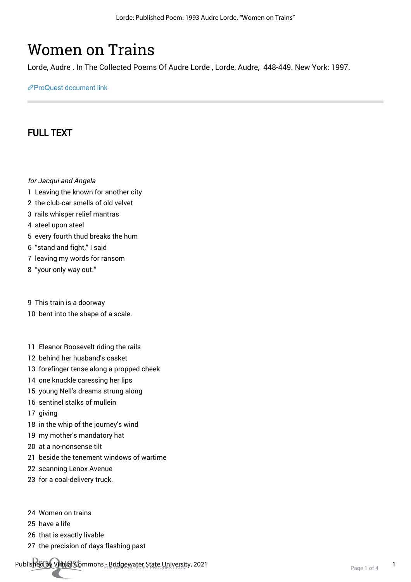# Women on Trains

Lorde, Audre . In The Collected Poems Of Audre Lorde , Lorde, Audre, 448-449. New York: 1997.

[ProQuest document link](http://ccl.idm.oclc.org/login?url=https://www.proquest.com/books/women-on-trains/docview/2147509575/se-2?accountid=10141)

### FULL TEXT

- for Jacqui and Angela
- 1 Leaving the known for another city
- 2 the club-car smells of old velvet
- 3 rails whisper relief mantras
- 4 steel upon steel
- 5 every fourth thud breaks the hum
- 6 "stand and fight," I said
- 7 leaving my words for ransom
- 8 "your only way out."
- 9 This train is a doorway
- 10 bent into the shape of a scale.
- 11 Eleanor Roosevelt riding the rails
- 12 behind her husband's casket
- 13 forefinger tense along a propped cheek
- 14 one knuckle caressing her lips
- 15 young Nell's dreams strung along
- 16 sentinel stalks of mullein
- 17 giving
- 18 in the whip of the journey's wind
- 19 my mother's mandatory hat
- 20 at a no-nonsense tilt
- 21 beside the tenement windows of wartime
- 22 scanning Lenox Avenue
- 23 for a coal-delivery truck.
- 24 Women on trains
- 25 have a life
- 26 that is exactly livable
- 27 the precision of days flashing past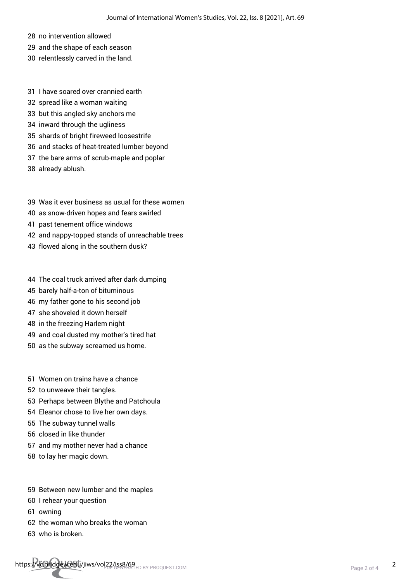- 28 no intervention allowed
- 29 and the shape of each season
- 30 relentlessly carved in the land.
- 31 I have soared over crannied earth
- 32 spread like a woman waiting
- 33 but this angled sky anchors me
- 34 inward through the ugliness
- 35 shards of bright fireweed loosestrife
- 36 and stacks of heat-treated lumber beyond
- 37 the bare arms of scrub-maple and poplar
- 38 already ablush.
- 39 Was it ever business as usual for these women
- 40 as snow-driven hopes and fears swirled
- 41 past tenement office windows
- 42 and nappy-topped stands of unreachable trees
- 43 flowed along in the southern dusk?
- 44 The coal truck arrived after dark dumping
- 45 barely half-a-ton of bituminous
- 46 my father gone to his second job
- 47 she shoveled it down herself
- 48 in the freezing Harlem night
- 49 and coal dusted my mother's tired hat
- 50 as the subway screamed us home.
- 51 Women on trains have a chance
- 52 to unweave their tangles.
- 53 Perhaps between Blythe and Patchoula
- 54 Eleanor chose to live her own days.
- 55 The subway tunnel walls
- 56 closed in like thunder
- 57 and my mother never had a chance
- 58 to lay her magic down.
- 59 Between new lumber and the maples
- 60 I rehear your question
- 61 owning
- 62 the woman who breaks the woman
- 63 who is broken.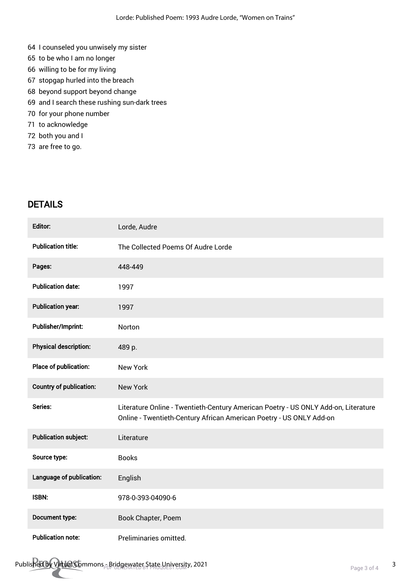- 64 I counseled you unwisely my sister
- 65 to be who I am no longer
- 66 willing to be for my living
- 67 stopgap hurled into the breach
- 68 beyond support beyond change
- 69 and I search these rushing sun-dark trees
- 70 for your phone number
- 71 to acknowledge
- 72 both you and I
- 73 are free to go.

### DETAILS

| Editor:                        | Lorde, Audre                                                                                                                                              |
|--------------------------------|-----------------------------------------------------------------------------------------------------------------------------------------------------------|
| <b>Publication title:</b>      | The Collected Poems Of Audre Lorde                                                                                                                        |
| Pages:                         | 448-449                                                                                                                                                   |
| <b>Publication date:</b>       | 1997                                                                                                                                                      |
| <b>Publication year:</b>       | 1997                                                                                                                                                      |
| Publisher/Imprint:             | Norton                                                                                                                                                    |
| <b>Physical description:</b>   | 489 p.                                                                                                                                                    |
| Place of publication:          | <b>New York</b>                                                                                                                                           |
| <b>Country of publication:</b> | <b>New York</b>                                                                                                                                           |
| Series:                        | Literature Online - Twentieth-Century American Poetry - US ONLY Add-on, Literature<br>Online - Twentieth-Century African American Poetry - US ONLY Add-on |
| <b>Publication subject:</b>    | Literature                                                                                                                                                |
| Source type:                   | <b>Books</b>                                                                                                                                              |
| Language of publication:       | English                                                                                                                                                   |
| ISBN:                          | 978-0-393-04090-6                                                                                                                                         |
| Document type:                 | Book Chapter, Poem                                                                                                                                        |
| <b>Publication note:</b>       | Preliminaries omitted.                                                                                                                                    |

Published by Virtual Commons - Bridgewater State University, 2021<br>Page 3 of 4 3